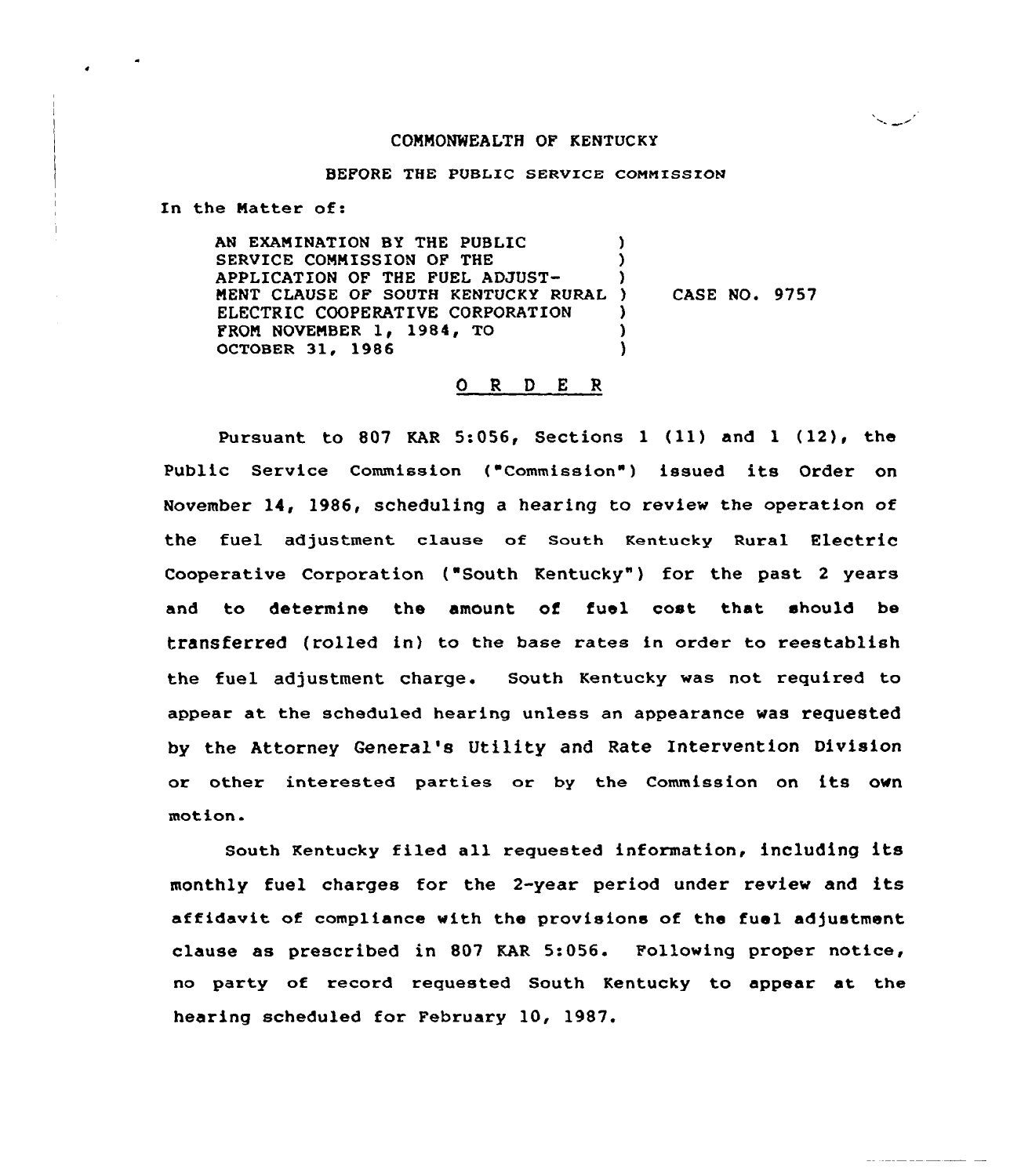### COMMONWEALTH OF KENTUCKY

بمسهديها

### BEFORE THE PUBLIC SERVICE COMMISSION

In the Natter of:

AN EXAMINATION BY THE PUBLIC SERVICE COMMISSION OF THE APPLICATION OF THE FUEL ADJUST-MENT CLAUSE OF SOUTH KENTUCKY RURAL ) ELECTRIC COOPERATIVE CORPORATION FROM NOVEMBER 1, 1984, TO OCTOBER 31, 1986 ) ) ) ) CASE NO. 9757 ) ) )

### O R D E R

Pursuant to <sup>807</sup> KAR 5:056, Sections <sup>1</sup> (ll) and <sup>1</sup> (12), the Public Service Commission ("Commission") issued its Order on November 14, 1986, scheduling a hearing to review the operation of the fuel adjustment clause of South Kentucky Rural Electric Cooperative Corporation ("South Kentucky") for the past 2 years and to determine the amount of fuel cost that should be transferred (rolled in} to the base rates in order to reestablish the fuel adjustment charge. South Kentucky was not required to appear at the scheduled hearing unless an appearance was requested by the Attorney General's Utility and Rate Intervention Division or other interested parties or by the Commission on its own motion.

south Kentucky filed all requested information, including its monthly fuel charges for the 2-year period under review and its affidavit of compliance with the provisions of the fuel adjustment clause as prescribed in 807 KAR 5:056. Following proper notice, no party of record requested South Kentucky to appear at the hearing scheduled for February 10, 1987.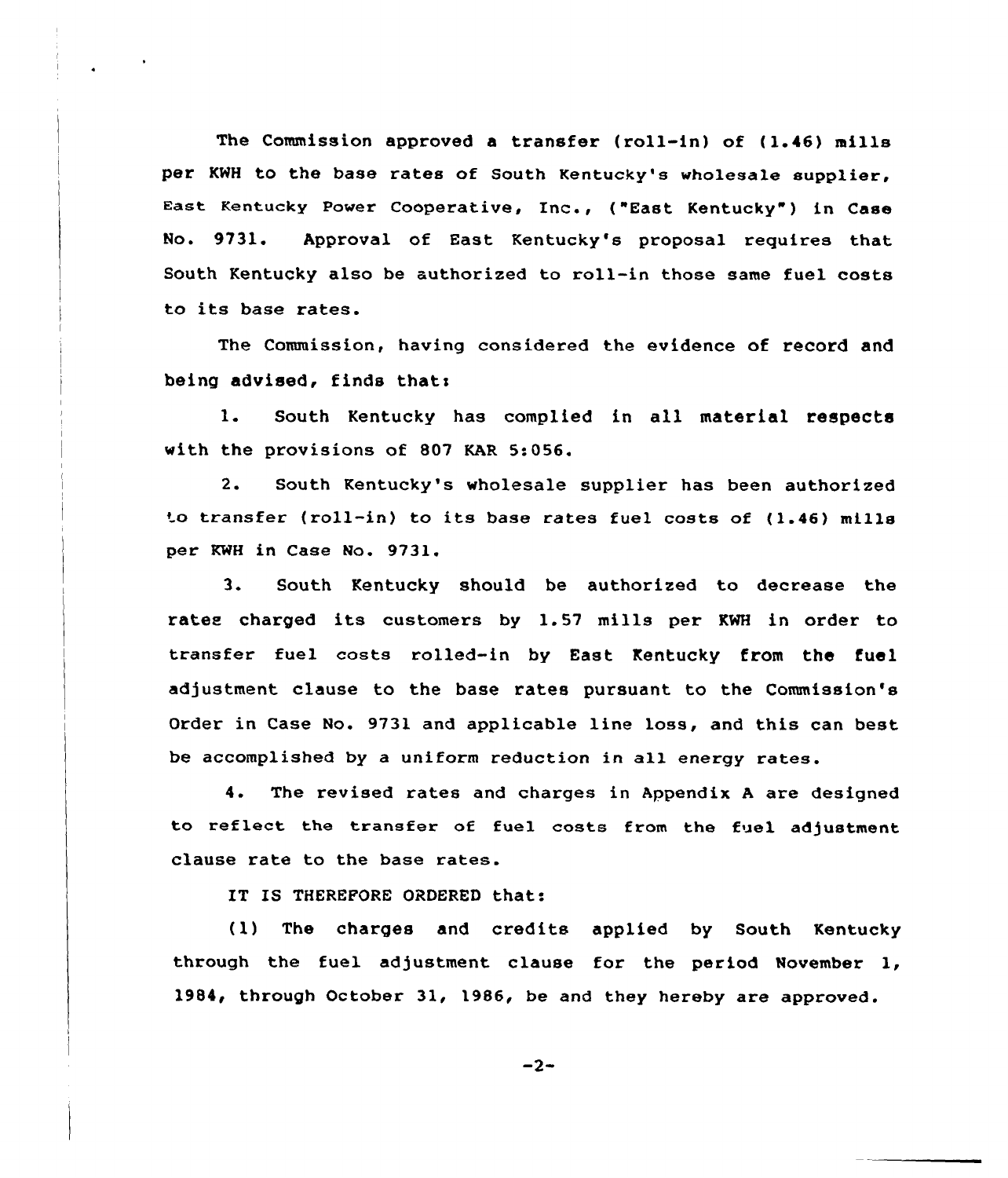The Commission approved a transfer (roll-in) of (1.46) mills per KNH to the base rates of South Kentucky's wholesale supplier, East Kentucky Power Cooperative, Inc., ("East Kentucky") in Case No. 9731. Approval of East Kentucky's proposal requires that South Kentucky also be authorized to roll-in those same fuel costs to its base rates.

The Commission, having considered the evidence of record and being advised, finds thats

1. South Kentucky has complied in all material respects with the provisions of 807 KAR 5:056.

2. South Kentucky's wholesale supplier has been authorized  $~$  to transfer (roll-in) to its base rates fuel costs of (1.46) mills per KWH in Case No. 9731.

3. South Kentucky should be authorized to decrease the rates charged its customers by 1.57 mills per KWH in order to transfer fuel coats rolled-in by East Kentucky from the fuel adjustment clause to the base rates pursuant to the Commission's Order in Case No. 9731 and applicable line loss, and this can best be accomplished by a uniform reduction in all energy rates.

4. The revised rates and charges in Appendix <sup>A</sup> are designed to reflect the transfer of fuel costs from the fuel adjustment clause rate to the base rates.

IT IS THEREPORE ORDERED that:

(1) The charges and credits applied by South Kentucky through the fuel adjustment clause for the period November 1, 1984< through October 31, 19B6, be and they hereby are approved.

 $-2-$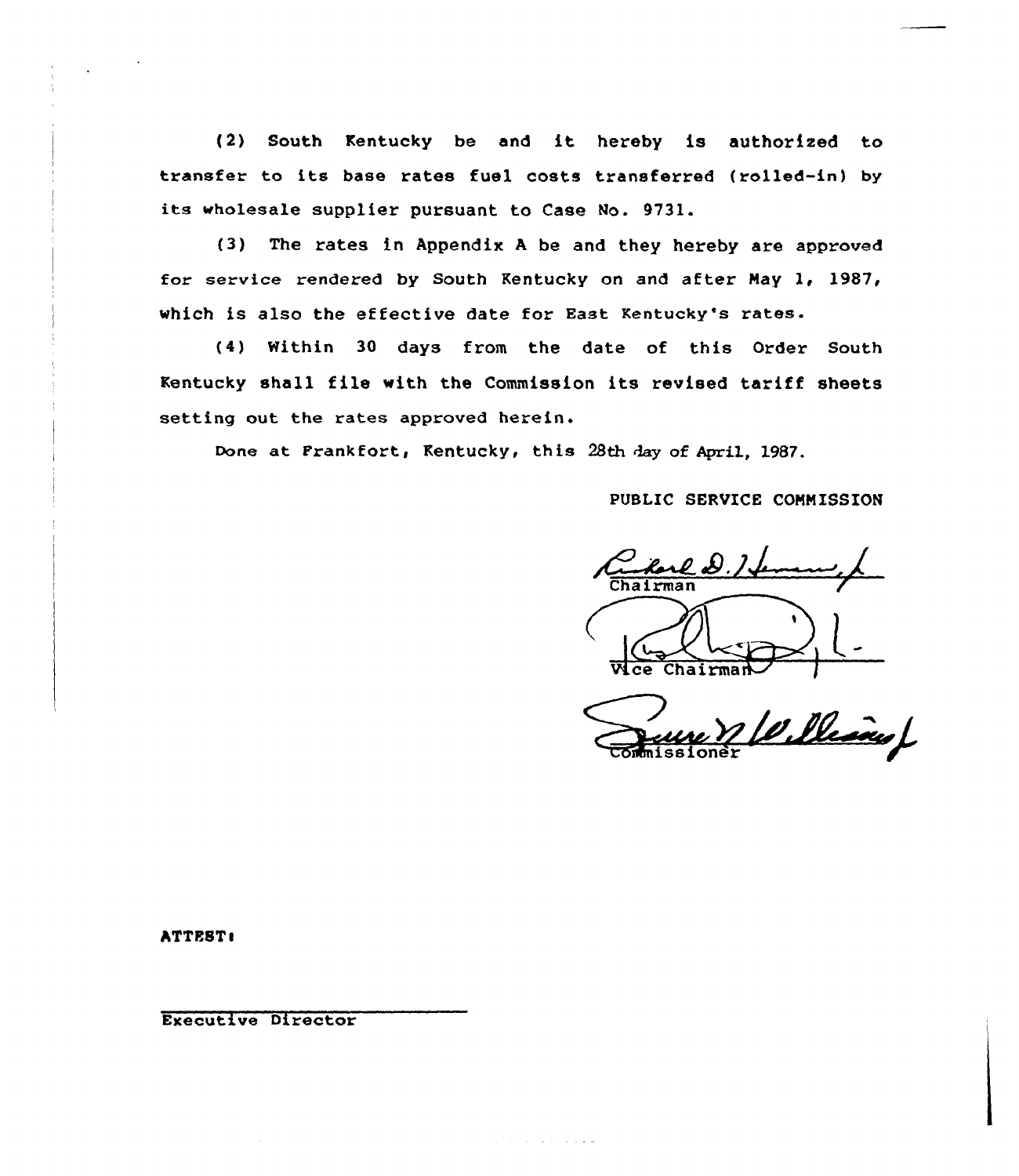(2) South Kentucky be and it hereby is authorized to transfer to its base rates fuel costs transferred (rolled-in) by its wholesale supplier pursuant to Case No. 9731.

(3) The rates in Appendix <sup>A</sup> be and they hereby are approved for service rendered by South Kentucky on and after Nay 1, 1987, which is also the effective date for East Kentucky's rates.

(4) Within 30 days from the date of this Order South Kentucky shall file with the Commission its revised tariff sheets setting out the rates approved herein.

Done at Frankfort, Kentucky, this 28th day of April, 1987.

فافروه والمتفارد والمناور

PUBLIC SERVICE COMNISS ION

harl D. I. W.ce Chairman

Williams

ATTEST:

Executive Director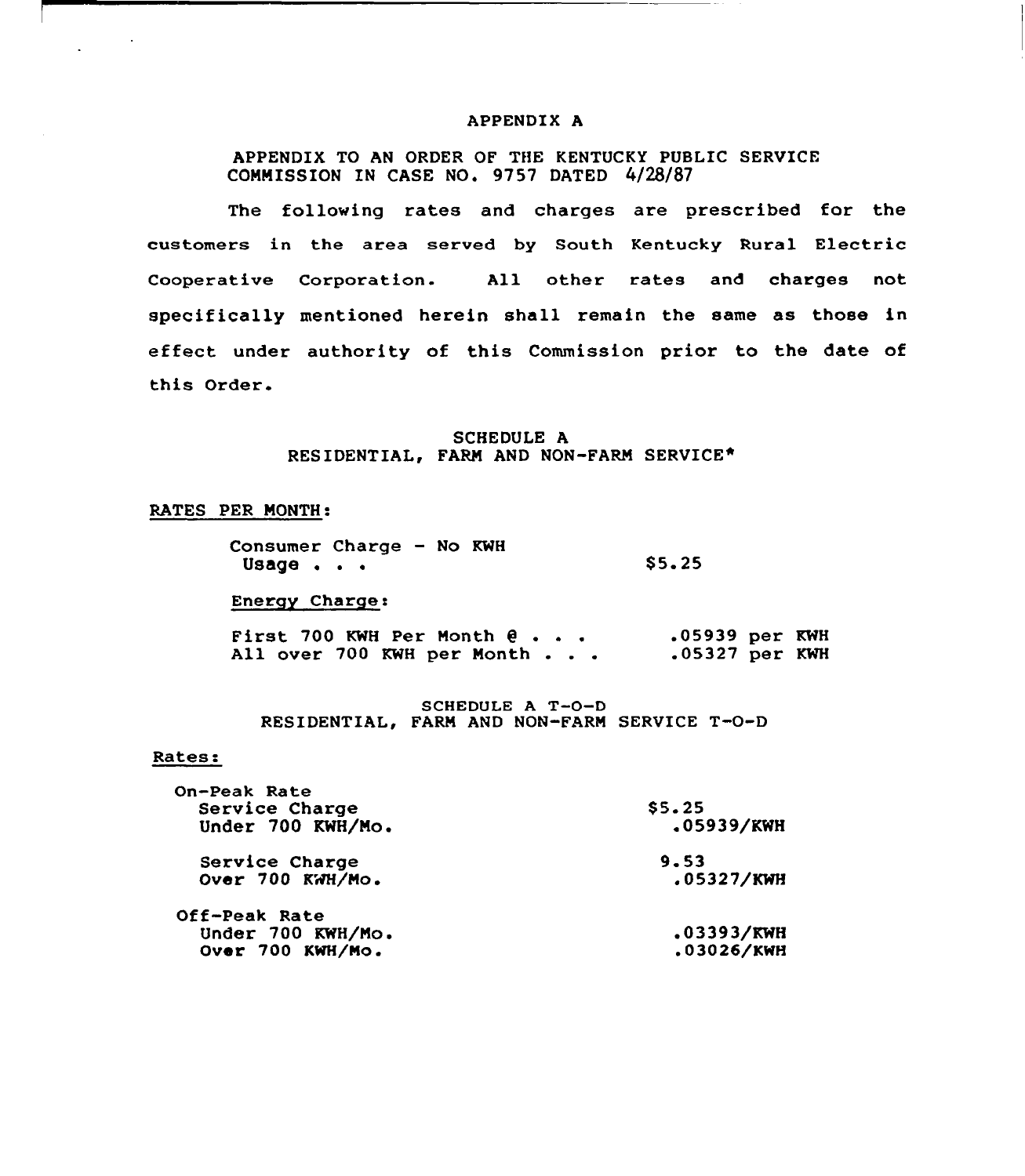#### APPENDIX A

# APPENDIX TO AN ORDER OF THE KENTUCKY PUBLIC SERVICE COMMISSION IN CASE NO. 9757 DATED 4/28/87

The following rates and charges are prescribed for the customers in the area served by South Kentucky Rural Electric Cooperative Corporation. All other rates and charges not specifically mentioned herein shall remain the same as those in effect under authority of this Commission prior to the date of this Order.

### SCHEDULE A RESIDENTIAL, FARM AND NON-FARM SERVICE\*

# RATES PER MONTH:

| Consumer Charge - No KWH |  |  |        |
|--------------------------|--|--|--------|
| Usage $\cdots$           |  |  | \$5.25 |

Energy Charge:

First 700 KWH Per Month All over 700 KWH per Month .05939 per KWH .05327 per KWH

### SCHEDULE <sup>A</sup> T-0-D RESIDENTIAL, FARM AND NON-FARM SERVICE T-O-D

#### Rates:

| \$5.25     |
|------------|
| .05939/KWH |
| 9.53       |
| .05327/KWH |
|            |
| .03393/KWH |
| .03026/KWH |
|            |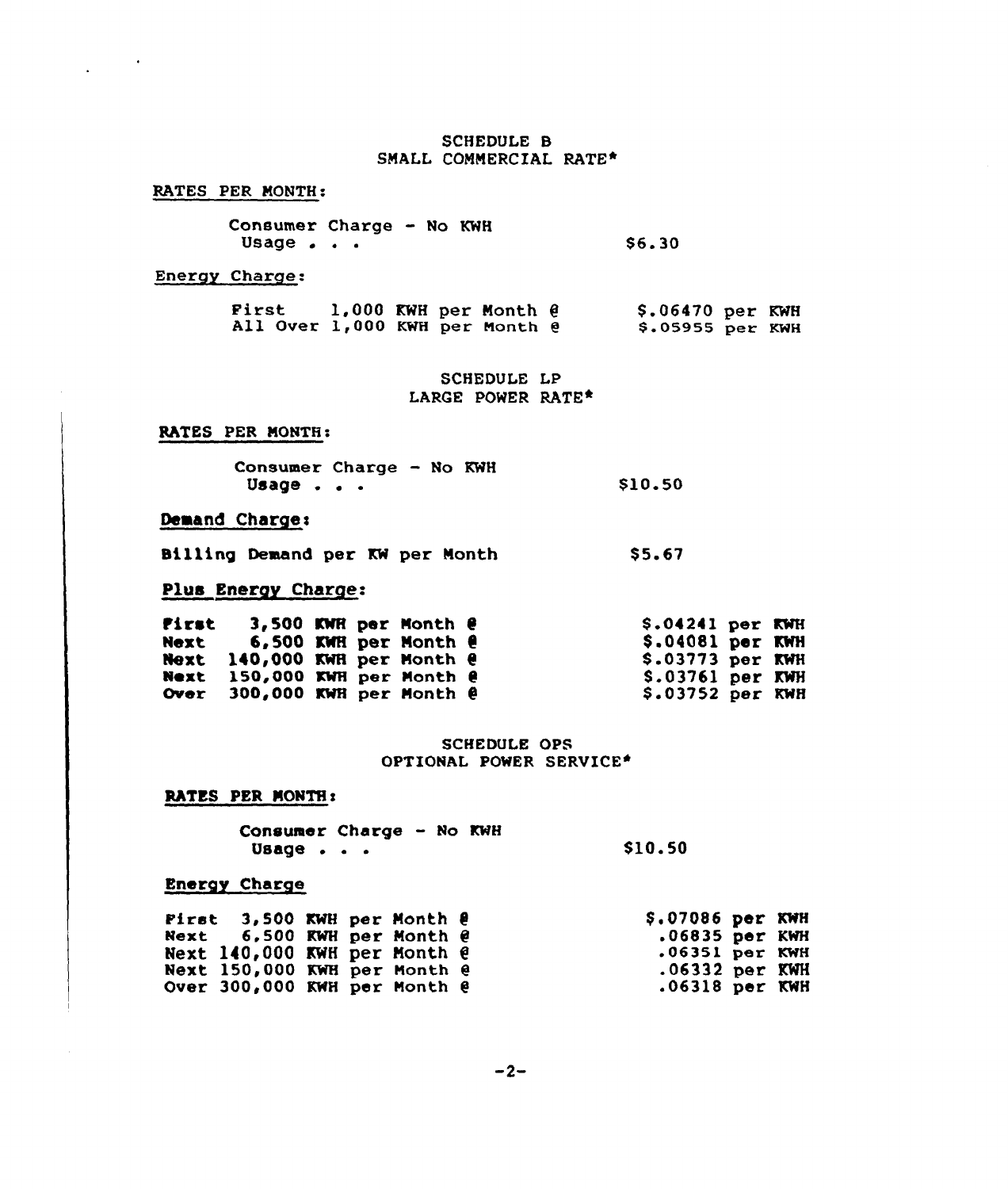# SCHEDULE B SMALL COMMERCIAL RATE\*

RATES PER MONTH:

 $\mathcal{L}^{\text{max}}$ 

| Consumer Charge - No KWH |  |  |        |
|--------------------------|--|--|--------|
| Usage $\ldots$           |  |  | \$6.30 |

Energy Charge.

| First<br>All Over 1,000 KWH per Month @ |  | 1,000 KWH per Month $\theta$ | $$.06470$ per KWH<br>$$.05955$ per KWH |  |
|-----------------------------------------|--|------------------------------|----------------------------------------|--|
|                                         |  |                              |                                        |  |

SCHEDULE LP LARGE POWER RATE\*

# RATES PER MONTH:

| <b>Consumer Charge - No KWH</b> |  |  |         |
|---------------------------------|--|--|---------|
| Usage $\ldots$                  |  |  | \$10.50 |

# Demand Charge:

8111ing Demand per KW per Month \$5.67

# Plus Energy Charge:

| First | 3,500 KWR per Month $e$<br>Next 6,500 KWH per Month $\theta$<br>Next 140,000 KWH per Month @ |  |  | $$.04241$ per KWH<br>$$.04081$ per KWH<br>$$.03773$ per KWH |  |
|-------|----------------------------------------------------------------------------------------------|--|--|-------------------------------------------------------------|--|
|       | Next 150,000 KWH per Month @<br>Over 300,000 KWH per Month @                                 |  |  | $$.03761$ per KWH<br>$$.03752$ per KWH                      |  |

## SCHEDULE OPS OPTIONAL POWER SERVICE+

# RATES PER MONTH:

COnsumer Charge — No KWH Usage . . . \$10.50

# Energy Charge

| Pirst $3,500$ KWH per Month $\theta$ |  |  | \$.07086 per KWH |  |
|--------------------------------------|--|--|------------------|--|
| Next $6,500$ KWH per Month $\theta$  |  |  | $.06835$ per KWH |  |
| Next 140,000 KWH per Month @         |  |  | $.06351$ per KWH |  |
| Next 150,000 KWH per Month @         |  |  | $.06332$ per KWH |  |
| Over 300,000 KWH per Month @         |  |  | $.06318$ per KWH |  |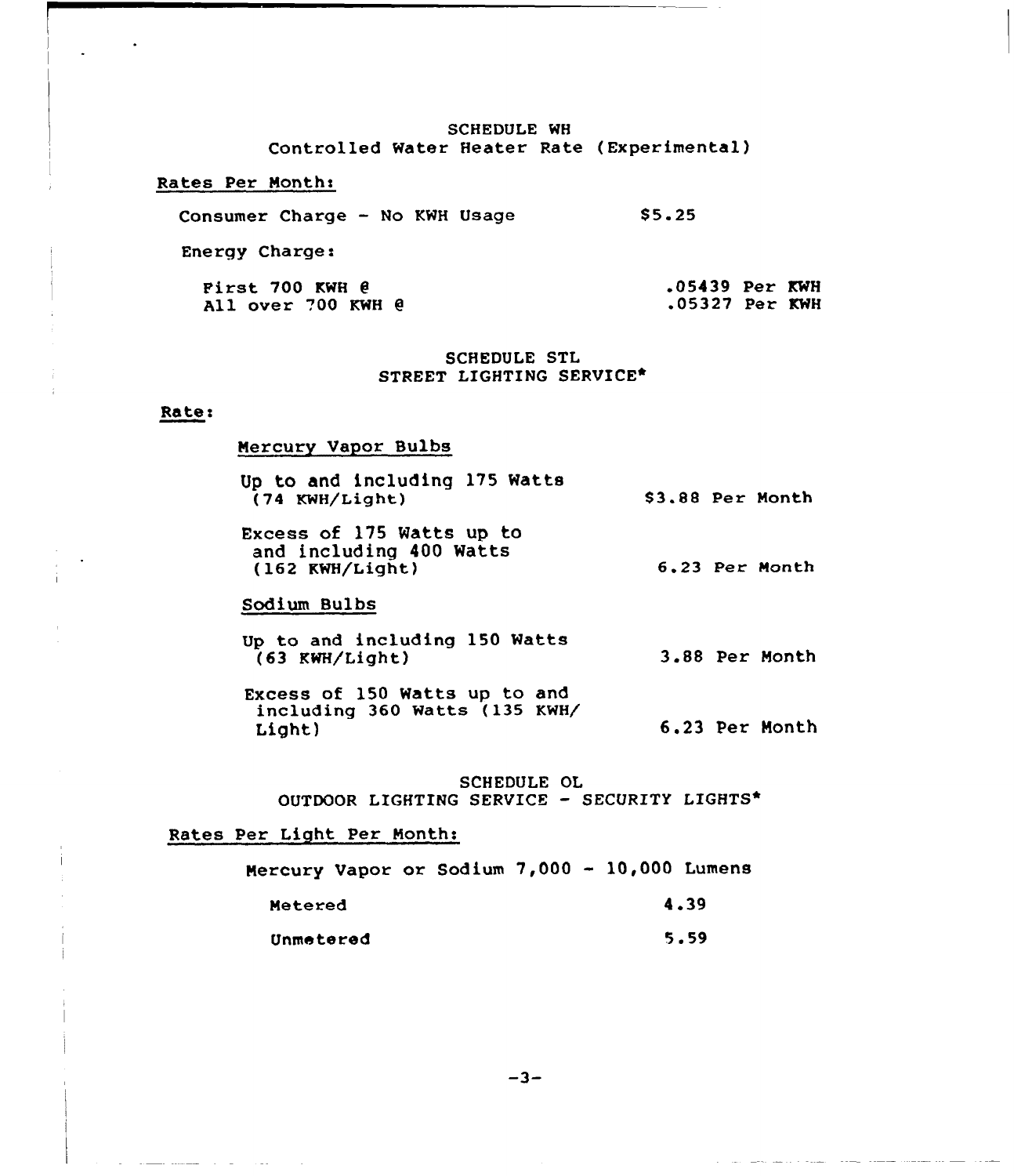# SCHEDULE WH Controlled Water Heater Rate (Experimental)

## Rates Per Month:

Consumer Charge — No KWH Usage  $$5.25$ 

Energy Charge:

| <b>First 700 KWH @</b> | $.05439$ Per KWH |  |
|------------------------|------------------|--|
| All over 700 KWH @     | .05327 Per KWH   |  |

# SCHEDULE STL STREET LIGHTING SERVICE\*

# Rates

 $\sim 10$ 

<u>and companies</u> and the same

### Mercury Vapor Bulbs

| Up to and including 175 Watts |                  |  |
|-------------------------------|------------------|--|
| (74 KWH/Light)                | \$3.88 Per Month |  |

Excess of 175 Watts up ta and including 400 Watts (162 KWH/Light) 6.23 Per Month

# Sodium Bulbs

- Up to and including 150 Watts (63 KWH/Light) 3.88 Per Month
- Excess of 150 Watts up to and including 360 Watts (135 KWH/ Light) 6.23 Per Month

SCHEDULE OL OUTDOOR LIGHTING SERVICE — SECURITY LIGHTS\*

## Rates Per Light Per Months

| Mercury Vapor or Sodium 7,000 - 10,000 Lumens |  |  |  |      |
|-----------------------------------------------|--|--|--|------|
| Metered                                       |  |  |  | 4.39 |
| Unmetered                                     |  |  |  | 5.59 |